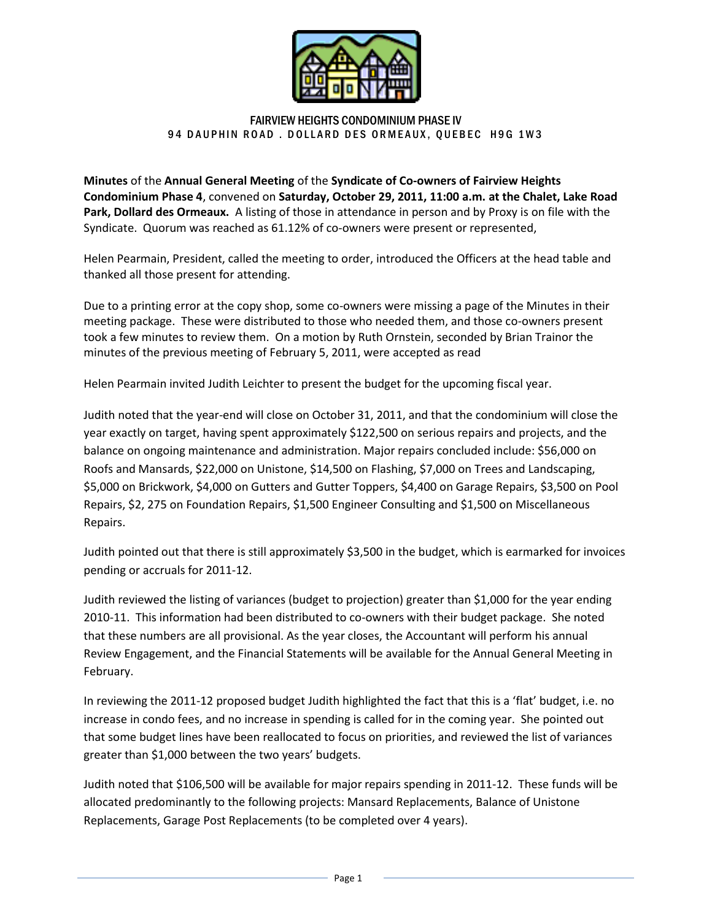

## FAIRVIEW HEIGHTS CONDOMINIUM PHASE IV 94 DAUPHIN ROAD. DOLLARD DES ORMEAUX, QUEBEC H9G 1W3

**Minutes** of the **Annual General Meeting** of the **Syndicate of Co-owners of Fairview Heights Condominium Phase 4**, convened on **Saturday, October 29, 2011, 11:00 a.m. at the Chalet, Lake Road Park, Dollard des Ormeaux.** A listing of those in attendance in person and by Proxy is on file with the Syndicate. Quorum was reached as 61.12% of co-owners were present or represented,

Helen Pearmain, President, called the meeting to order, introduced the Officers at the head table and thanked all those present for attending.

Due to a printing error at the copy shop, some co-owners were missing a page of the Minutes in their meeting package. These were distributed to those who needed them, and those co-owners present took a few minutes to review them. On a motion by Ruth Ornstein, seconded by Brian Trainor the minutes of the previous meeting of February 5, 2011, were accepted as read

Helen Pearmain invited Judith Leichter to present the budget for the upcoming fiscal year.

Judith noted that the year-end will close on October 31, 2011, and that the condominium will close the year exactly on target, having spent approximately \$122,500 on serious repairs and projects, and the balance on ongoing maintenance and administration. Major repairs concluded include: \$56,000 on Roofs and Mansards, \$22,000 on Unistone, \$14,500 on Flashing, \$7,000 on Trees and Landscaping, \$5,000 on Brickwork, \$4,000 on Gutters and Gutter Toppers, \$4,400 on Garage Repairs, \$3,500 on Pool Repairs, \$2, 275 on Foundation Repairs, \$1,500 Engineer Consulting and \$1,500 on Miscellaneous Repairs.

Judith pointed out that there is still approximately \$3,500 in the budget, which is earmarked for invoices pending or accruals for 2011-12.

Judith reviewed the listing of variances (budget to projection) greater than \$1,000 for the year ending 2010-11. This information had been distributed to co-owners with their budget package. She noted that these numbers are all provisional. As the year closes, the Accountant will perform his annual Review Engagement, and the Financial Statements will be available for the Annual General Meeting in February.

In reviewing the 2011-12 proposed budget Judith highlighted the fact that this is a 'flat' budget, i.e. no increase in condo fees, and no increase in spending is called for in the coming year. She pointed out that some budget lines have been reallocated to focus on priorities, and reviewed the list of variances greater than \$1,000 between the two years' budgets.

Judith noted that \$106,500 will be available for major repairs spending in 2011-12. These funds will be allocated predominantly to the following projects: Mansard Replacements, Balance of Unistone Replacements, Garage Post Replacements (to be completed over 4 years).